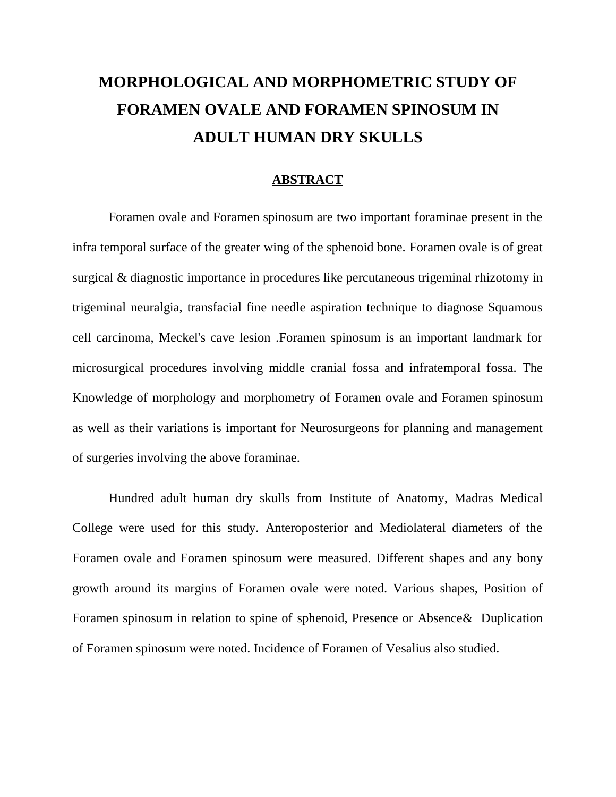## **MORPHOLOGICAL AND MORPHOMETRIC STUDY OF FORAMEN OVALE AND FORAMEN SPINOSUM IN ADULT HUMAN DRY SKULLS**

## **ABSTRACT**

Foramen ovale and Foramen spinosum are two important foraminae present in the infra temporal surface of the greater wing of the sphenoid bone. Foramen ovale is of great surgical & diagnostic importance in procedures like percutaneous trigeminal rhizotomy in trigeminal neuralgia, transfacial fine needle aspiration technique to diagnose Squamous cell carcinoma, Meckel's cave lesion .Foramen spinosum is an important landmark for microsurgical procedures involving middle cranial fossa and infratemporal fossa. The Knowledge of morphology and morphometry of Foramen ovale and Foramen spinosum as well as their variations is important for Neurosurgeons for planning and management of surgeries involving the above foraminae.

Hundred adult human dry skulls from Institute of Anatomy, Madras Medical College were used for this study. Anteroposterior and Mediolateral diameters of the Foramen ovale and Foramen spinosum were measured. Different shapes and any bony growth around its margins of Foramen ovale were noted. Various shapes, Position of Foramen spinosum in relation to spine of sphenoid, Presence or Absence& Duplication of Foramen spinosum were noted. Incidence of Foramen of Vesalius also studied.